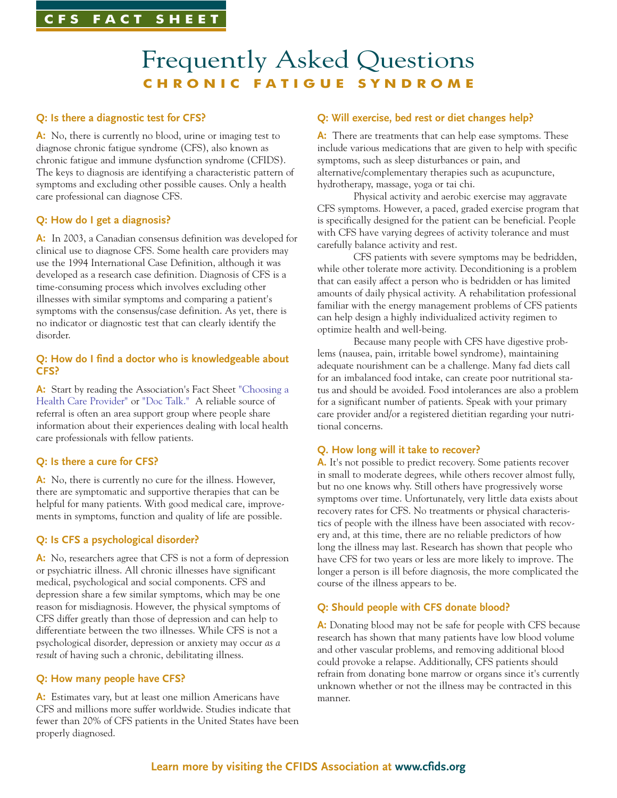# **CFS FACT SHEET**

# Frequently Asked Questions **CHRONIC FATIGUE SYNDROME**

# **Q: Is there a diagnostic test for CFS?**

**A:** No, there is currently no blood, urine or imaging test to diagnose chronic fatigue syndrome (CFS), also known as chronic fatigue and immune dysfunction syndrome (CFIDS). The keys to diagnosis are identifying a characteristic pattern of symptoms and excluding other possible causes. Only a health care professional can diagnose CFS.

### **Q: How do I get a diagnosis?**

**A:** In 2003, a Canadian consensus definition was developed for clinical use to diagnose CFS. Some health care providers may use the 1994 International Case Definition, although it was developed as a research case definition. Diagnosis of CFS is a time-consuming process which involves excluding other illnesses with similar symptoms and comparing a patient's symptoms with the consensus/case definition. As yet, there is no indicator or diagnostic test that can clearly identify the disorder.

#### **Q: How do I find a doctor who is knowledgeable about CFS?**

A: Start by reading the Association's Fact Sheet ["Choosing a](http://www.cfids.org/resources/health-care-provider-fact-sheet.pdf) [Health Care Provider"](http://www.cfids.org/resources/health-care-provider-fact-sheet.pdf) or ["Doc Talk."](http://www.cfids.org/resources/doc-talk.pdf) A reliable source of referral is often an area support group where people share information about their experiences dealing with local health care professionals with fellow patients.

# **Q: Is there a cure for CFS?**

**A:** No, there is currently no cure for the illness. However, there are symptomatic and supportive therapies that can be helpful for many patients. With good medical care, improvements in symptoms, function and quality of life are possible.

#### **Q: Is CFS a psychological disorder?**

**A:** No, researchers agree that CFS is not a form of depression or psychiatric illness. All chronic illnesses have significant medical, psychological and social components. CFS and depression share a few similar symptoms, which may be one reason for misdiagnosis. However, the physical symptoms of CFS differ greatly than those of depression and can help to differentiate between the two illnesses. While CFS is not a psychological disorder, depression or anxiety may occur *as a result* of having such a chronic, debilitating illness.

#### **Q: How many people have CFS?**

**A:** Estimates vary, but at least one million Americans have CFS and millions more suffer worldwide. Studies indicate that fewer than 20% of CFS patients in the United States have been properly diagnosed.

## **Q: Will exercise, bed rest or diet changes help?**

**A:** There are treatments that can help ease symptoms. These include various medications that are given to help with specific symptoms, such as sleep disturbances or pain, and alternative/complementary therapies such as acupuncture, hydrotherapy, massage, yoga or tai chi.

Physical activity and aerobic exercise may aggravate CFS symptoms. However, a paced, graded exercise program that is specifically designed for the patient can be beneficial. People with CFS have varying degrees of activity tolerance and must carefully balance activity and rest.

CFS patients with severe symptoms may be bedridden, while other tolerate more activity. Deconditioning is a problem that can easily affect a person who is bedridden or has limited amounts of daily physical activity. A rehabilitation professional familiar with the energy management problems of CFS patients can help design a highly individualized activity regimen to optimize health and well-being.

Because many people with CFS have digestive problems (nausea, pain, irritable bowel syndrome), maintaining adequate nourishment can be a challenge. Many fad diets call for an imbalanced food intake, can create poor nutritional status and should be avoided. Food intolerances are also a problem for a significant number of patients. Speak with your primary care provider and/or a registered dietitian regarding your nutritional concerns.

#### **Q. How long will it take to recover?**

**A.** It's not possible to predict recovery. Some patients recover in small to moderate degrees, while others recover almost fully, but no one knows why. Still others have progressively worse symptoms over time. Unfortunately, very little data exists about recovery rates for CFS. No treatments or physical characteristics of people with the illness have been associated with recovery and, at this time, there are no reliable predictors of how long the illness may last. Research has shown that people who have CFS for two years or less are more likely to improve. The longer a person is ill before diagnosis, the more complicated the course of the illness appears to be.

#### **Q: Should people with CFS donate blood?**

A: Donating blood may not be safe for people with CFS because research has shown that many patients have low blood volume and other vascular problems, and removing additional blood could provoke a relapse. Additionally, CFS patients should refrain from donating bone marrow or organs since it's currently unknown whether or not the illness may be contracted in this manner.